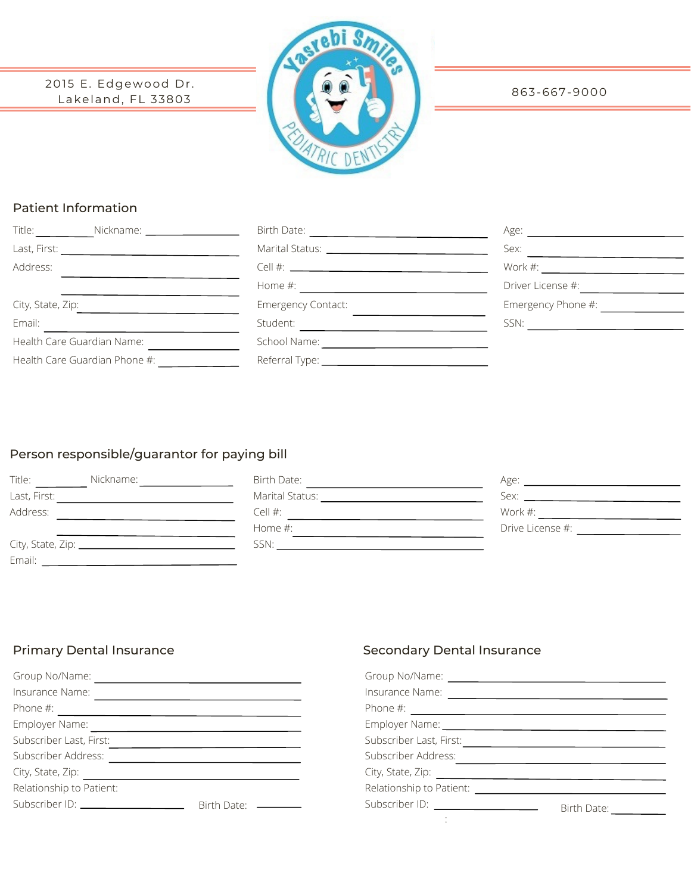2015 E. Edgewood Dr. Lakeland, FL 33803



#### 863-667-9000

## Patient Information

| Title:<br>Nickname: 1999 Mickname: 2009 | Birth Date: The Contract of the Contract of the Contract of the Contract of the Contract of the Contract of the | Age:               |
|-----------------------------------------|-----------------------------------------------------------------------------------------------------------------|--------------------|
|                                         | Marital Status: National Assembly and the Marital Status:                                                       | Sex:               |
| Address:                                |                                                                                                                 | Work $\#$ :        |
|                                         | Home #:                                                                                                         | Driver License #:  |
| City, State, Zip:                       | <b>Emergency Contact:</b>                                                                                       | Emergency Phone #: |
| Email:                                  | Student:                                                                                                        | SSN:               |
| Health Care Guardian Name:              | School Name:                                                                                                    |                    |
| Health Care Guardian Phone #:           |                                                                                                                 |                    |

# Person responsible/guarantor for paying bill

| Title:       | Nickname:                       | Birth Date:     | Age:             |
|--------------|---------------------------------|-----------------|------------------|
| Last, First: |                                 | Marital Status: | Sex:             |
| Address:     |                                 | Cell #:         | Work #:          |
|              |                                 | Home $#$ :      | Drive License #: |
|              | City, State, Zip: _____________ | SSN:            |                  |
| Email:       |                                 |                 |                  |

| Group No/Name:                 |             |  |
|--------------------------------|-------------|--|
| Insurance Name:                |             |  |
| Phone #:                       |             |  |
| Employer Name:                 |             |  |
| Subscriber Last, First:        |             |  |
| Subscriber Address:            |             |  |
| City, State, Zip:              |             |  |
| Relationship to Patient:       |             |  |
| Subscriber ID: _______________ | Birth Date: |  |

## Primary Dental Insurance **Secondary Dental Insurance** Secondary Dental Insurance

| Insurance Name:                                                                                                                                                                                                                |             |
|--------------------------------------------------------------------------------------------------------------------------------------------------------------------------------------------------------------------------------|-------------|
|                                                                                                                                                                                                                                |             |
| Employer Name: 1997 March 2008                                                                                                                                                                                                 |             |
| Subscriber Last, First:                                                                                                                                                                                                        |             |
| Subscriber Address:                                                                                                                                                                                                            |             |
|                                                                                                                                                                                                                                |             |
| Relationship to Patient: Network of the state of the state of the state of the state of the state of the state of the state of the state of the state of the state of the state of the state of the state of the state of the  |             |
| Subscriber ID: \\contact \\contact \\contact \\contact \\contact \\contact \\contact \\contact \\contact \\contact \\contact \\contact \\contact \\contact \\contact \\contact \\contact \\contact \\contact \\contact \\conta | Birth Date: |
|                                                                                                                                                                                                                                |             |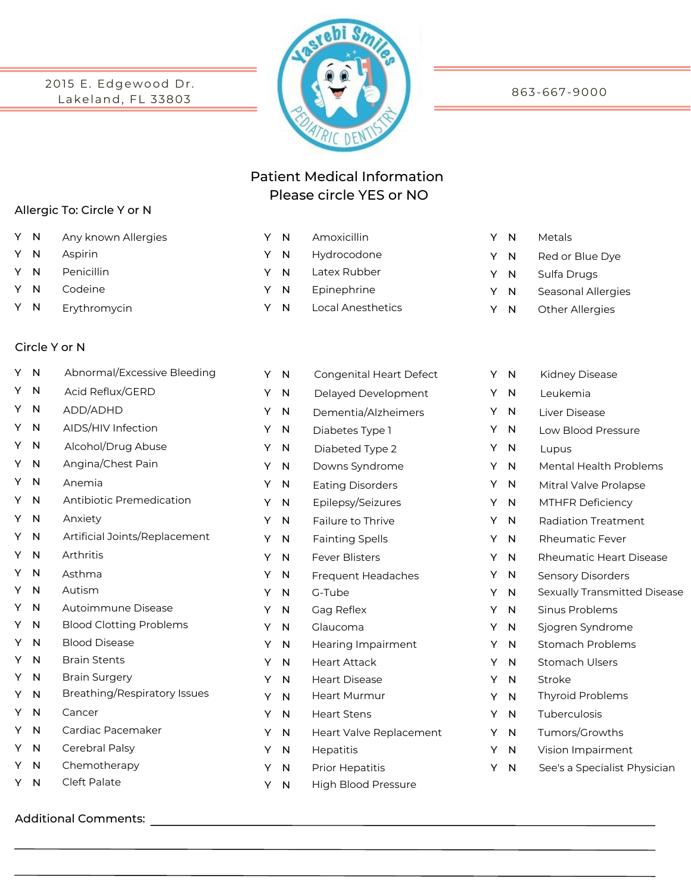2015 E. Edgewood Dr . Lakeland, FL 33803



863-667-9000

# Patient Medical Information Please circle YES or NO

Latex Rubber Epinephrine

Local Anesthetics

#### Allergic To: Circle Y or N

- Y N Any known Allergies **Match 2018 METALE METALE METALE METALE METALE METAL METALS**
- Y N Aspirin
- Y N Penicillin
- Y N Codeine
- Y N Erythromycin

#### Circle Y or N

| Υ | N | Abnormal/Excessive Bleeding         | Y | N            | Congenital Heart Defect    | Y | $\mathsf{N}$ | Κ              |
|---|---|-------------------------------------|---|--------------|----------------------------|---|--------------|----------------|
| Y | N | Acid Reflux/GERD                    | Y | N            | Delayed Development        | Υ | $\mathsf{N}$ | L              |
| Y | N | ADD/ADHD                            | Y | N            | Dementia/Alzheimers        | Y | N            | Li             |
| Y | N | AIDS/HIV Infection                  | Υ | N            | Diabetes Type 1            | Y | N            | L٩             |
| Y | N | Alcohol/Drug Abuse                  | Υ | N            | Diabeted Type 2            | Y | N            | L              |
| Y | N | Angina/Chest Pain                   | Υ | N            | Downs Syndrome             | Y | N            | Μ              |
| Y | N | Anemia                              | Υ | N            | <b>Eating Disorders</b>    | Y | N            | Μ              |
| Y | N | Antibiotic Premedication            | Υ | N            | Epilepsy/Seizures          | Y | N            | Μ              |
| Y | N | Anxiety                             | Υ | N            | Failure to Thrive          | Y | N            | R              |
| Y | N | Artificial Joints/Replacement       | Υ | N            | <b>Fainting Spells</b>     | Υ | $\mathsf{N}$ | $\mathsf{R}$   |
| Y | N | Arthritis                           | Υ | $\mathsf{N}$ | <b>Fever Blisters</b>      | Y | N            | $\mathsf{R}$   |
| Y | N | Asthma                              | Υ | N            | <b>Frequent Headaches</b>  | Y | $\mathsf{N}$ | S <sub>6</sub> |
| Y | N | Autism                              | Y | N            | G-Tube                     | Y | N            | S6             |
| Y | N | Autoimmune Disease                  | Υ | N            | Gag Reflex                 | Y | $\mathsf{N}$ | Si             |
| Y | N | <b>Blood Clotting Problems</b>      | Υ | N            | Glaucoma                   | Y | N            | Sj             |
| Y | N | <b>Blood Disease</b>                | Υ | N            | Hearing Impairment         | Y | N            | St             |
| Y | N | <b>Brain Stents</b>                 | Υ | N            | <b>Heart Attack</b>        | Y | N            | St             |
| Y | N | <b>Brain Surgery</b>                | Υ | N            | <b>Heart Disease</b>       | Y | $\mathsf{N}$ | St             |
| Υ | N | <b>Breathing/Respiratory Issues</b> | Υ | N            | <b>Heart Murmur</b>        | Y | $\mathsf{N}$ | Τł             |
| Y | N | Cancer                              | Υ | N            | <b>Heart Stens</b>         | Y | $\mathsf{N}$ | Tι             |
| Υ | N | Cardiac Pacemaker                   | Υ | N            | Heart Valve Replacement    | Y | N            | Tι             |
| Y | N | Cerebral Palsy                      | Υ | N            | Hepatitis                  | Y | N            | V              |
| Y | N | Chemotherapy                        | Y | N            | Prior Hepatitis            | Y | N            | S              |
| Y | N | Cleft Palate                        | Y | N            | <b>High Blood Pressure</b> |   |              |                |
|   |   |                                     |   |              |                            |   |              |                |

Y N Y N Y N Y N

## Additional Comments:

|  | Y N Amoxicillin   |  | Y N Metals               |
|--|-------------------|--|--------------------------|
|  | Y N Hydrocodone   |  | Y N Red or Blue Dye      |
|  | V N I atex-Rubber |  | $V \times 1$ Culta Druga |

- Sulfa Drugs Y N
- Y N Seasonal Allergies
- Y N Other Allergies

| Υ | N | <b>Kidney Disease</b>               |
|---|---|-------------------------------------|
| Υ | N | Leukemia                            |
| Υ | N | Liver Disease                       |
| Υ | N | <b>Low Blood Pressure</b>           |
| Υ | N | Lupus                               |
| Υ | N | Mental Health Problems              |
| Υ | N | Mitral Valve Prolapse               |
| Υ | N | <b>MTHFR Deficiency</b>             |
| Υ | N | Radiation Treatment                 |
| Υ | N | <b>Rheumatic Fever</b>              |
| Υ | N | Rheumatic Heart Disease             |
| Υ | N | <b>Sensory Disorders</b>            |
| Υ | N | <b>Sexually Transmitted Disease</b> |
| Y | N | Sinus Problems                      |
| Υ | N | Sjogren Syndrome                    |
| Υ | N | Stomach Problems                    |
| Υ | N | <b>Stomach Ulsers</b>               |
| Υ | N | Stroke                              |
| Υ | N | <b>Thyroid Problems</b>             |
| Υ | N | Tuberculosis                        |
| Υ | N | Tumors/Growths                      |
| Υ | N | Vision Impairment                   |
| Υ | N | See's a Specialist Physician        |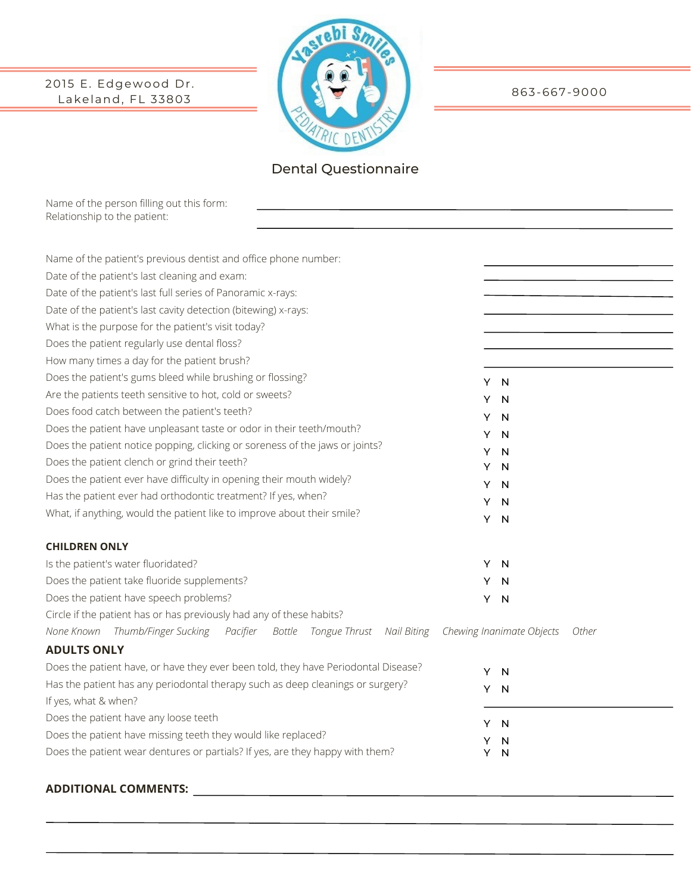## 2015 E. Edgewood Dr. Lakeland, FL 33803



Dental Questionnaire

Name of the person filling out this form: Relationship to the patient:

| Name of the patient's previous dentist and office phone number:                    |        |                           |       |  |
|------------------------------------------------------------------------------------|--------|---------------------------|-------|--|
| Date of the patient's last cleaning and exam:                                      |        |                           |       |  |
| Date of the patient's last full series of Panoramic x-rays:                        |        |                           |       |  |
| Date of the patient's last cavity detection (bitewing) x-rays:                     |        |                           |       |  |
| What is the purpose for the patient's visit today?                                 |        |                           |       |  |
| Does the patient regularly use dental floss?                                       |        |                           |       |  |
| How many times a day for the patient brush?                                        |        |                           |       |  |
| Does the patient's gums bleed while brushing or flossing?                          |        | Y N                       |       |  |
| Are the patients teeth sensitive to hot, cold or sweets?                           | Y      | N                         |       |  |
| Does food catch between the patient's teeth?                                       | Y      | N                         |       |  |
| Does the patient have unpleasant taste or odor in their teeth/mouth?               | Y      | N                         |       |  |
| Does the patient notice popping, clicking or soreness of the jaws or joints?       | Y      | N                         |       |  |
| Does the patient clench or grind their teeth?                                      | Y      | N                         |       |  |
| Does the patient ever have difficulty in opening their mouth widely?               | Y      | N                         |       |  |
| Has the patient ever had orthodontic treatment? If yes, when?                      | Y      | N                         |       |  |
| What, if anything, would the patient like to improve about their smile?            |        | Y N                       |       |  |
|                                                                                    |        |                           |       |  |
| <b>CHILDREN ONLY</b>                                                               |        |                           |       |  |
| Is the patient's water fluoridated?                                                | Y      | N                         |       |  |
| Does the patient take fluoride supplements?                                        | Y      | N                         |       |  |
| Does the patient have speech problems?                                             | Υ      | N                         |       |  |
| Circle if the patient has or has previously had any of these habits?               |        |                           |       |  |
| None Known Thumb/Finger Sucking Pacifier Bottle Tongue Thrust Nail Biting          |        | Chewing Inanimate Objects | Other |  |
| <b>ADULTS ONLY</b>                                                                 |        |                           |       |  |
| Does the patient have, or have they ever been told, they have Periodontal Disease? |        | Y N                       |       |  |
| Has the patient has any periodontal therapy such as deep cleanings or surgery?     | Y.     | N                         |       |  |
| If yes, what & when?                                                               |        |                           |       |  |
| Does the patient have any loose teeth                                              | Y.     | N                         |       |  |
| Does the patient have missing teeth they would like replaced?                      |        |                           |       |  |
| Does the patient wear dentures or partials? If yes, are they happy with them?      | Y<br>Y | N<br>N                    |       |  |
|                                                                                    |        |                           |       |  |

## **ADDITIONAL COMMENTS:**

863-667-9000